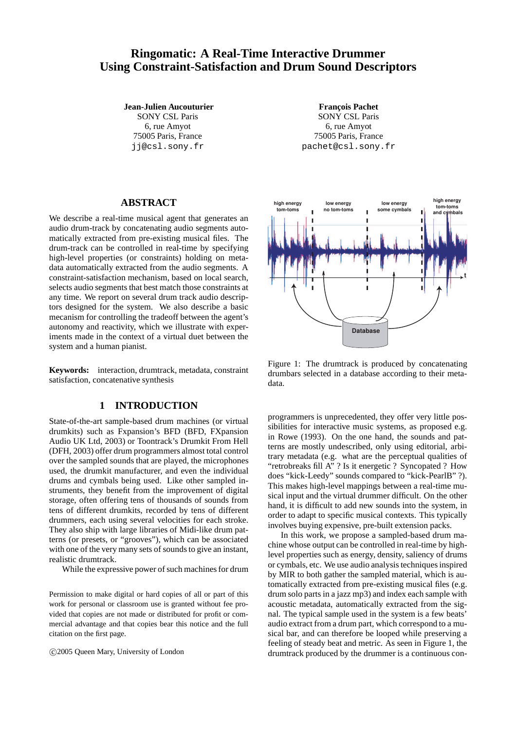# **Ringomatic: A Real-Time Interactive Drummer Using Constraint-Satisfaction and Drum Sound Descriptors**

**Jean-Julien Aucouturier** SONY CSL Paris 6, rue Amyot 75005 Paris, France jj@csl.sony.fr

**François Pachet** SONY CSL Paris 6, rue Amyot 75005 Paris, France pachet@csl.sony.fr

# **ABSTRACT**

We describe a real-time musical agent that generates an audio drum-track by concatenating audio segments automatically extracted from pre-existing musical files. The drum-track can be controlled in real-time by specifying high-level properties (or constraints) holding on metadata automatically extracted from the audio segments. A constraint-satisfaction mechanism, based on local search, selects audio segments that best match those constraints at any time. We report on several drum track audio descriptors designed for the system. We also describe a basic mecanism for controlling the tradeoff between the agent's autonomy and reactivity, which we illustrate with experiments made in the context of a virtual duet between the system and a human pianist.

**Keywords:** interaction, drumtrack, metadata, constraint satisfaction, concatenative synthesis

# **1 INTRODUCTION**

State-of-the-art sample-based drum machines (or virtual drumkits) such as Fxpansion's BFD (BFD, FXpansion Audio UK Ltd, 2003) or Toontrack's Drumkit From Hell (DFH, 2003) offer drum programmers almost total control over the sampled sounds that are played, the microphones used, the drumkit manufacturer, and even the individual drums and cymbals being used. Like other sampled instruments, they benefit from the improvement of digital storage, often offering tens of thousands of sounds from tens of different drumkits, recorded by tens of different drummers, each using several velocities for each stroke. They also ship with large libraries of Midi-like drum patterns (or presets, or "grooves"), which can be associated with one of the very many sets of sounds to give an instant, realistic drumtrack.

While the expressive power of such machines for drum

Permission to make digital or hard copies of all or part of this work for personal or classroom use is granted without fee provided that copies are not made or distributed for profit or commercial advantage and that copies bear this notice and the full citation on the first page.

c 2005 Queen Mary, University of London



Figure 1: The drumtrack is produced by concatenating drumbars selected in a database according to their metadata.

programmers is unprecedented, they offer very little possibilities for interactive music systems, as proposed e.g. in Rowe (1993). On the one hand, the sounds and patterns are mostly undescribed, only using editorial, arbitrary metadata (e.g. what are the perceptual qualities of "retrobreaks fill A" ? Is it energetic ? Syncopated ? How does "kick-Leedy" sounds compared to "kick-PearlB" ?). This makes high-level mappings between a real-time musical input and the virtual drummer difficult. On the other hand, it is difficult to add new sounds into the system, in order to adapt to specific musical contexts. This typically involves buying expensive, pre-built extension packs.

In this work, we propose a sampled-based drum machine whose output can be controlled in real-time by highlevel properties such as energy, density, saliency of drums or cymbals, etc. We use audio analysis techniques inspired by MIR to both gather the sampled material, which is automatically extracted from pre-existing musical files (e.g. drum solo parts in a jazz mp3) and index each sample with acoustic metadata, automatically extracted from the signal. The typical sample used in the system is a few beats' audio extract from a drum part, which correspond to a musical bar, and can therefore be looped while preserving a feeling of steady beat and metric. As seen in Figure 1, the drumtrack produced by the drummer is a continuous con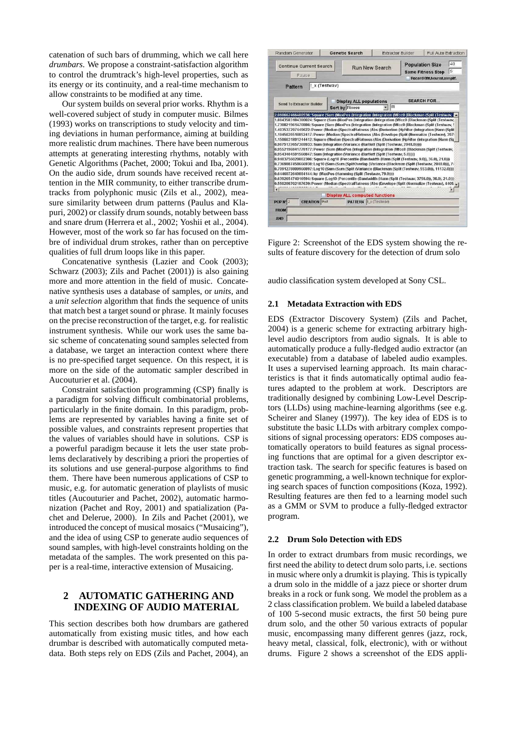catenation of such bars of drumming, which we call here *drumbars*. We propose a constraint-satisfaction algorithm to control the drumtrack's high-level properties, such as its energy or its continuity, and a real-time mechanism to allow constraints to be modified at any time.

Our system builds on several prior works. Rhythm is a well-covered subject of study in computer music. Bilmes (1993) works on transcriptions to study velocity and timing deviations in human performance, aiming at building more realistic drum machines. There have been numerous attempts at generating interesting rhythms, notably with Genetic Algorithms (Pachet, 2000; Tokui and Iba, 2001). On the audio side, drum sounds have received recent attention in the MIR community, to either transcribe drumtracks from polyphonic music (Zils et al., 2002), measure similarity between drum patterns (Paulus and Klapuri, 2002) or classify drum sounds, notably between bass and snare drum (Herrera et al., 2002; Yoshii et al., 2004). However, most of the work so far has focused on the timbre of individual drum strokes, rather than on perceptive qualities of full drum loops like in this paper.

Concatenative synthesis (Lazier and Cook (2003); Schwarz (2003); Zils and Pachet (2001)) is also gaining more and more attention in the field of music. Concatenative synthesis uses a database of samples, or *units*, and a *unit selection* algorithm that finds the sequence of units that match best a target sound or phrase. It mainly focuses on the precise reconstruction of the target, e.g. for realistic instrument synthesis. While our work uses the same basic scheme of concatenating sound samples selected from a database, we target an interaction context where there is no pre-specified target sequence. On this respect, it is more on the side of the automatic sampler described in Aucouturier et al. (2004).

Constraint satisfaction programming (CSP) finally is a paradigm for solving difficult combinatorial problems, particularly in the finite domain. In this paradigm, problems are represented by variables having a finite set of possible values, and constraints represent properties that the values of variables should have in solutions. CSP is a powerful paradigm because it lets the user state problems declaratively by describing a priori the properties of its solutions and use general-purpose algorithms to find them. There have been numerous applications of CSP to music, e.g. for automatic generation of playlists of music titles (Aucouturier and Pachet, 2002), automatic harmonization (Pachet and Roy, 2001) and spatialization (Pachet and Delerue, 2000). In Zils and Pachet (2001), we introduced the concept of musical mosaics ("Musaicing"), and the idea of using CSP to generate audio sequences of sound samples, with high-level constraints holding on the metadata of the samples. The work presented on this paper is a real-time, interactive extension of Musaicing.

# **2 AUTOMATIC GATHERING AND INDEXING OF AUDIO MATERIAL**

This section describes both how drumbars are gathered automatically from existing music titles, and how each drumbar is described with automatically computed metadata. Both steps rely on EDS (Zils and Pachet, 2004), an

|                                              | <b>Genetic Search</b>                                                                                                                                                                                                                                                                                                                                                                                                                                                                                                                                                                                                                                                                                                                                                                                                                                                                                                                                                                                                                                                                                                                                           | <b>Extractor Builder</b> |  | Full Auto Extraction                                                                                    |  |
|----------------------------------------------|-----------------------------------------------------------------------------------------------------------------------------------------------------------------------------------------------------------------------------------------------------------------------------------------------------------------------------------------------------------------------------------------------------------------------------------------------------------------------------------------------------------------------------------------------------------------------------------------------------------------------------------------------------------------------------------------------------------------------------------------------------------------------------------------------------------------------------------------------------------------------------------------------------------------------------------------------------------------------------------------------------------------------------------------------------------------------------------------------------------------------------------------------------------------|--------------------------|--|---------------------------------------------------------------------------------------------------------|--|
| <b>Continue Current Search</b>               |                                                                                                                                                                                                                                                                                                                                                                                                                                                                                                                                                                                                                                                                                                                                                                                                                                                                                                                                                                                                                                                                                                                                                                 | <b>Run New Search</b>    |  | <b>Population Size</b><br><b>Same Fitness Stop</b>                                                      |  |
| Pause                                        |                                                                                                                                                                                                                                                                                                                                                                                                                                                                                                                                                                                                                                                                                                                                                                                                                                                                                                                                                                                                                                                                                                                                                                 |                          |  | Record Ofit.heurist.simplif.                                                                            |  |
| Pattern                                      | ! x (Testwav)                                                                                                                                                                                                                                                                                                                                                                                                                                                                                                                                                                                                                                                                                                                                                                                                                                                                                                                                                                                                                                                                                                                                                   |                          |  |                                                                                                         |  |
| <b>Send To Extractor Builder</b>             | <b>Display ALL populations</b><br>Sort by Fitness                                                                                                                                                                                                                                                                                                                                                                                                                                                                                                                                                                                                                                                                                                                                                                                                                                                                                                                                                                                                                                                                                                               | Ifft                     |  | <b>SEARCH FOR</b>                                                                                       |  |
|                                              |                                                                                                                                                                                                                                                                                                                                                                                                                                                                                                                                                                                                                                                                                                                                                                                                                                                                                                                                                                                                                                                                                                                                                                 |                          |  | 1.403537297449622: Power (Median (SpectralFlatness (Abs (Derivation (HpFilter (Integration (Hann (Split |  |
| Π                                            | 1.1945626516052417: Power (Median (SpectralFlatness (Abs (Envelope (Split (Normalize (Testwav), 397)<br>1.1506631891244412: Square (Median (SpectralFlatness (Abs (Derivation (HpFilter (Integration (Hann (Sr<br>0.9675122657369933: Sum (Integration (Variance (Bartlett (Split (Testway, 2048.0)))))<br>0.9552196841778177; Power (Sum (MaxPos (Integration (Integration (Mfcc0 (Blackman (Split (Testway,<br>0.9543404591560847: Sum (Integration (Variance (Bartlett (Split (Testwav, 5.0)))))<br>0.9403756020002306: Square (Log10 (Percentile (Bandwidth (Hann (Split (Testway, 9.0)), 36.0), 21.0)))<br>0.7369887458666938: Log10 (Sum (Sum (SplitOverlap (Variance (Blackman (Split (Testway, 2048.0))), 74<br>0.7091278809960897: Log10 (Sum (Sum (Split (Variance (Blackman (Split (Testway, 553.0))), 11132.0))))<br>0.6446072640884144: lar (MaxPos (Hamming (Split (Testway, 79.0))))<br>0.639265474016594: Square (Log10 (Percentile (Bandwidth (Hann (Split (Testwav, 3756.0)), 36.0), 21.0)))<br>0.550208702187639: Power (Median (SpectralFlatness (Abs (Envelope (Split (Normalize (Testwav), 4405.<br><b>Display ALL computed functions</b> |                          |  |                                                                                                         |  |
| <b>CREATION</b>                              | Best<br><b>PATTERN X (Testway)</b>                                                                                                                                                                                                                                                                                                                                                                                                                                                                                                                                                                                                                                                                                                                                                                                                                                                                                                                                                                                                                                                                                                                              |                          |  |                                                                                                         |  |
| POP <sub>N</sub> <sup>2</sup><br><b>FROM</b> |                                                                                                                                                                                                                                                                                                                                                                                                                                                                                                                                                                                                                                                                                                                                                                                                                                                                                                                                                                                                                                                                                                                                                                 |                          |  |                                                                                                         |  |

Figure 2: Screenshot of the EDS system showing the results of feature discovery for the detection of drum solo

audio classification system developed at Sony CSL.

#### **2.1 Metadata Extraction with EDS**

EDS (Extractor Discovery System) (Zils and Pachet, 2004) is a generic scheme for extracting arbitrary highlevel audio descriptors from audio signals. It is able to automatically produce a fully-fledged audio extractor (an executable) from a database of labeled audio examples. It uses a supervised learning approach. Its main characteristics is that it finds automatically optimal audio features adapted to the problem at work. Descriptors are traditionally designed by combining Low-Level Descriptors (LLDs) using machine-learning algorithms (see e.g. Scheirer and Slaney (1997)). The key idea of EDS is to substitute the basic LLDs with arbitrary complex compositions of signal processing operators: EDS composes automatically operators to build features as signal processing functions that are optimal for a given descriptor extraction task. The search for specific features is based on genetic programming, a well-known technique for exploring search spaces of function compositions (Koza, 1992). Resulting features are then fed to a learning model such as a GMM or SVM to produce a fully-fledged extractor program.

#### **2.2 Drum Solo Detection with EDS**

In order to extract drumbars from music recordings, we first need the ability to detect drum solo parts, i.e. sections in music where only a drumkit is playing. This is typically a drum solo in the middle of a jazz piece or shorter drum breaks in a rock or funk song. We model the problem as a 2 class classification problem. We build a labeled database of 100 5-second music extracts, the first 50 being pure drum solo, and the other 50 various extracts of popular music, encompassing many different genres (jazz, rock, heavy metal, classical, folk, electronic), with or without drums. Figure 2 shows a screenshot of the EDS appli-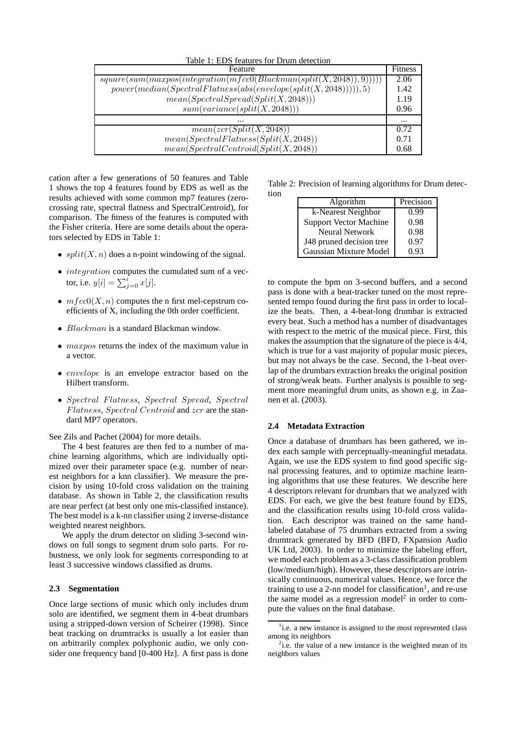| Table 1: EDS features for Drum detection                                |          |
|-------------------------------------------------------------------------|----------|
| Feature                                                                 | Fitness  |
| $square(sum(maxpos(integration(mfcc0(Blackman(split(X, 2048)), 9))))))$ | 2.06     |
| $power(median(Spectral Flateess(abs(envelope(split(X, 2048))))), 5)$    | 1.42     |
| mean(Spectral Spread(Split(X, 2048)))                                   | 1.19     |
| sum(variance(split(X, 2048)))                                           | 0.96     |
| $\cdots$                                                                | $\cdots$ |
| mean(zcr(Split(X, 2048))                                                | 0.72     |
| $mean(Spectral Flatness(Split(X, 2048))$                                | 0.71     |
| $mean(Spectral Centroid(Split(X, 2048))$                                | 0.68     |

cation after a few generations of 50 features and Table 1 shows the top 4 features found by EDS as well as the results achieved with some common mp7 features (zerocrossing rate, spectral flatness and SpectralCentroid), for comparison. The fitness of the features is computed with the Fisher criteria. Here are some details about the operators selected by EDS in Table 1:

- $split(X, n)$  does a n-point windowing of the signal.
- *integration* computes the cumulated sum of a vector, i.e.  $y[i] = \sum_{j=0}^{i} x[j]$ .
- $m \, f \, \text{cc} \, O(X, n)$  computes the n first mel-cepstrum coefficients of X, including the 0th order coefficient.
- *Blackman* is a standard Blackman window.
- *maxpos* returns the index of the maximum value in a vector.
- envelope is an envelope extractor based on the Hilbert transform.
- Spectral Flatness, Spectral Spread, Spectral Flatness, Spectral Centroid and zcr are the standard MP7 operators.

See Zils and Pachet (2004) for more details.

The 4 best features are then fed to a number of machine learning algorithms, which are individually optimized over their parameter space (e.g. number of nearest neighbors for a knn classifier). We measure the precision by using 10-fold cross validation on the training database. As shown in Table 2, the classification results are near perfect (at best only one mis-classified instance). The best model is a k-nn classifier using 2 inverse-distance weighted nearest neighbors.

We apply the drum detector on sliding 3-second windows on full songs to segment drum solo parts. For robustness, we only look for segments corresponding to at least 3 successive windows classified as drums.

#### **2.3 Segmentation**

Once large sections of music which only includes drum solo are identified, we segment them in 4-beat drumbars using a stripped-down version of Scheirer (1998). Since beat tracking on drumtracks is usually a lot easier than on arbitrarily complex polyphonic audio, we only consider one frequency band [0-400 Hz]. A first pass is done

Table 2: Precision of learning algorithms for Drum detection

| Algorithm                     | Precision |
|-------------------------------|-----------|
| k-Nearest Neighbor            | 0.99      |
| <b>Support Vector Machine</b> | 0.98      |
| <b>Neural Network</b>         | 0.98      |
| J48 pruned decision tree      | 0.97      |
| Gaussian Mixture Model        | 0.93      |

to compute the bpm on 3-second buffers, and a second pass is done with a beat-tracker tuned on the most represented tempo found during the first pass in order to localize the beats. Then, a 4-beat-long drumbar is extracted every beat. Such a method has a number of disadvantages with respect to the metric of the musical piece. First, this makes the assumption that the signature of the piece is 4/4, which is true for a vast majority of popular music pieces, but may not always be the case. Second, the 1-beat overlap of the drumbars extraction breaks the original position of strong/weak beats. Further analysis is possible to segment more meaningful drum units, as shown e.g. in Zaanen et al. (2003).

#### **2.4 Metadata Extraction**

Once a database of drumbars has been gathered, we index each sample with perceptually-meaningful metadata. Again, we use the EDS system to find good specific signal processing features, and to optimize machine learning algorithms that use these features. We describe here 4 descriptors relevant for drumbars that we analyzed with EDS. For each, we give the best feature found by EDS, and the classification results using 10-fold cross validation. Each descriptor was trained on the same handlabeled database of 75 drumbars extracted from a swing drumtrack generated by BFD (BFD, FXpansion Audio UK Ltd, 2003). In order to minimize the labeling effort, we model each problem as a 3-class classification problem (low/medium/high). However, these descriptors are intrinsically continuous, numerical values. Hence, we force the training to use a 2-nn model for classification<sup>1</sup>, and re-use the same model as a regression model<sup>2</sup> in order to compute the values on the final database.

<sup>&</sup>lt;sup>1</sup>i.e. a new instance is assigned to the most represented class among its neighbors

 $2i.e.$  the value of a new instance is the weighted mean of its neighbors values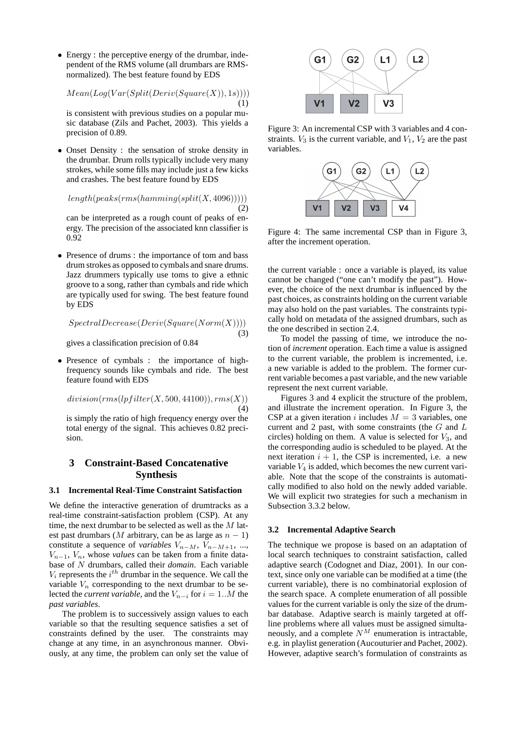• Energy : the perceptive energy of the drumbar, independent of the RMS volume (all drumbars are RMSnormalized). The best feature found by EDS

 $Mean(Log(Var(Split(Deriv(Square(X)), 1s))))$ 

(1)

(2)

(3)

is consistent with previous studies on a popular music database (Zils and Pachet, 2003). This yields a precision of 0.89.

• Onset Density : the sensation of stroke density in the drumbar. Drum rolls typically include very many strokes, while some fills may include just a few kicks and crashes. The best feature found by EDS

$$
length (peaks(rms(hamming (split (X,4096))))
$$

can be interpreted as a rough count of peaks of energy. The precision of the associated knn classifier is 0.92

• Presence of drums : the importance of tom and bass drum strokes as opposed to cymbals and snare drums. Jazz drummers typically use toms to give a ethnic groove to a song, rather than cymbals and ride which are typically used for swing. The best feature found by EDS

$$
Spectral Decrease(Deriv(Square(Norm(X))))
$$

gives a classification precision of 0.84

• Presence of cymbals : the importance of highfrequency sounds like cymbals and ride. The best feature found with EDS

$$
division(rms(lpfilter(X, 500, 44100)), rms(X))\tag{4}
$$

is simply the ratio of high frequency energy over the total energy of the signal. This achieves 0.82 precision.

# **3 Constraint-Based Concatenative Synthesis**

#### **3.1 Incremental Real-Time Constraint Satisfaction**

We define the interactive generation of drumtracks as a real-time constraint-satisfaction problem (CSP). At any time, the next drumbar to be selected as well as the  $M$  latest past drumbars (M arbitrary, can be as large as  $n - 1$ ) constitute a sequence of *variables*  $V_{n-M}$ ,  $V_{n-M+1}$ , ...,  $V_{n-1}$ ,  $V_n$ , whose *values* can be taken from a finite database of N drumbars, called their *domain*. Each variable  $V_i$  represents the  $i^{th}$  drumbar in the sequence. We call the variable  $V_n$  corresponding to the next drumbar to be selected the *current variable*, and the  $V_{n-i}$  for  $i = 1..M$  the *past variables*.

The problem is to successively assign values to each variable so that the resulting sequence satisfies a set of constraints defined by the user. The constraints may change at any time, in an asynchronous manner. Obviously, at any time, the problem can only set the value of



Figure 3: An incremental CSP with 3 variables and 4 constraints.  $V_3$  is the current variable, and  $V_1$ ,  $V_2$  are the past variables.



Figure 4: The same incremental CSP than in Figure 3, after the increment operation.

the current variable : once a variable is played, its value cannot be changed ("one can't modify the past"). However, the choice of the next drumbar is influenced by the past choices, as constraints holding on the current variable may also hold on the past variables. The constraints typically hold on metadata of the assigned drumbars, such as the one described in section 2.4.

To model the passing of time, we introduce the notion of *increment* operation. Each time a value is assigned to the current variable, the problem is incremented, i.e. a new variable is added to the problem. The former current variable becomes a past variable, and the new variable represent the next current variable.

Figures 3 and 4 explicit the structure of the problem, and illustrate the increment operation. In Figure 3, the CSP at a given iteration i includes  $M = 3$  variables, one current and 2 past, with some constraints (the  $G$  and  $L$ circles) holding on them. A value is selected for  $V_3$ , and the corresponding audio is scheduled to be played. At the next iteration  $i + 1$ , the CSP is incremented, i.e. a new variable  $V_4$  is added, which becomes the new current variable. Note that the scope of the constraints is automatically modified to also hold on the newly added variable. We will explicit two strategies for such a mechanism in Subsection 3.3.2 below.

#### **3.2 Incremental Adaptive Search**

The technique we propose is based on an adaptation of local search techniques to constraint satisfaction, called adaptive search (Codognet and Diaz, 2001). In our context, since only one variable can be modified at a time (the current variable), there is no combinatorial explosion of the search space. A complete enumeration of all possible values for the current variable is only the size of the drumbar database. Adaptive search is mainly targeted at offline problems where all values must be assigned simultaneously, and a complete  $N^M$  enumeration is intractable, e.g. in playlist generation (Aucouturier and Pachet, 2002). However, adaptive search's formulation of constraints as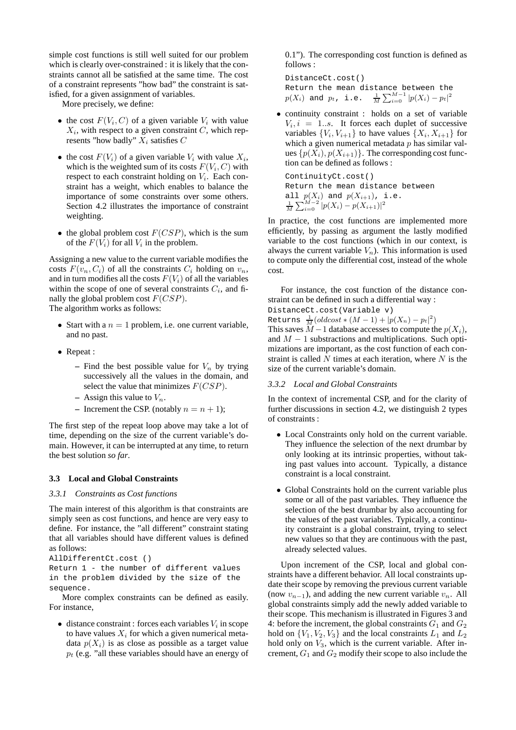simple cost functions is still well suited for our problem which is clearly over-constrained : it is likely that the constraints cannot all be satisfied at the same time. The cost of a constraint represents "how bad" the constraint is satisfied, for a given assignment of variables.

More precisely, we define:

- the cost  $F(V_i, C)$  of a given variable  $V_i$  with value  $X_i$ , with respect to a given constraint C, which represents "how badly"  $X_i$  satisfies C
- the cost  $F(V_i)$  of a given variable  $V_i$  with value  $X_i$ , which is the weighted sum of its costs  $F(V_i, C)$  with respect to each constraint holding on  $V_i$ . Each constraint has a weight, which enables to balance the importance of some constraints over some others. Section 4.2 illustrates the importance of constraint weighting.
- the global problem cost  $F(CSP)$ , which is the sum of the  $F(V_i)$  for all  $V_i$  in the problem.

Assigning a new value to the current variable modifies the costs  $F(v_n, C_i)$  of all the constraints  $C_i$  holding on  $v_n$ , and in turn modifies all the costs  $F(V_i)$  of all the variables within the scope of one of several constraints  $C_i$ , and finally the global problem cost  $F(CSP)$ .

The algorithm works as follows:

- Start with a  $n = 1$  problem, i.e. one current variable, and no past.
- Repeat :
	- Find the best possible value for  $V_n$  by trying successively all the values in the domain, and select the value that minimizes  $F(CSP)$ .
	- $-$  Assign this value to  $V_n$ .
	- **–** Increment the CSP. (notably  $n = n + 1$ );

The first step of the repeat loop above may take a lot of time, depending on the size of the current variable's domain. However, it can be interrupted at any time, to return the best solution *so far*.

#### **3.3 Local and Global Constraints**

#### *3.3.1 Constraints as Cost functions*

The main interest of this algorithm is that constraints are simply seen as cost functions, and hence are very easy to define. For instance, the "all different" constraint stating that all variables should have different values is defined as follows:

```
AllDifferentCt.cost ()
```
Return 1 - the number of different values in the problem divided by the size of the sequence.

More complex constraints can be defined as easily. For instance,

 $\bullet$  distance constraint : forces each variables  $V_i$  in scope to have values  $X_i$  for which a given numerical metadata  $p(X_i)$  is as close as possible as a target value  $p_t$  (e.g. "all these variables should have an energy of 0.1"). The corresponding cost function is defined as follows :

DistanceCt.cost() Return the mean distance between the  $p(X_i)$  and  $p_t$ , i.e.  $\frac{1}{M}\sum_{i=0}^{M-1} |p(X_i) - p_t|^2$ 

• continuity constraint : holds on a set of variable  $V_i, i = 1...s$ . It forces each duplet of successive variables  $\{V_i, V_{i+1}\}\$  to have values  $\{X_i, X_{i+1}\}\$  for which a given numerical metadata  $p$  has similar values  $\{p(X_i), p(X_{i+1})\}$ . The corresponding cost function can be defined as follows :

ContinuityCt.cost() Return the mean distance between all  $p(X_i)$  and  $p(X_{i+1})$ , i.e.<br> $\frac{1}{M}\sum_{i=0}^{M-2} |p(X_i) - p(X_{i+1})|^2$ 

In practice, the cost functions are implemented more efficiently, by passing as argument the lastly modified variable to the cost functions (which in our context, is always the current variable  $V_n$ ). This information is used to compute only the differential cost, instead of the whole cost.

For instance, the cost function of the distance constraint can be defined in such a differential way :

DistanceCt.cost(Variable v)

Returns  $\frac{1}{M}(oldcost*(M-1) + |p(X_n) - p_t|^2)$ This saves  $M-1$  database accesses to compute the  $p(X_i)$ , and  $M - 1$  substractions and multiplications. Such optimizations are important, as the cost function of each constraint is called  $N$  times at each iteration, where  $N$  is the size of the current variable's domain.

#### *3.3.2 Local and Global Constraints*

In the context of incremental CSP, and for the clarity of further discussions in section 4.2, we distinguish 2 types of constraints :

- Local Constraints only hold on the current variable. They influence the selection of the next drumbar by only looking at its intrinsic properties, without taking past values into account. Typically, a distance constraint is a local constraint.
- Global Constraints hold on the current variable plus some or all of the past variables. They influence the selection of the best drumbar by also accounting for the values of the past variables. Typically, a continuity constraint is a global constraint, trying to select new values so that they are continuous with the past, already selected values.

Upon increment of the CSP, local and global constraints have a different behavior. All local constraints update their scope by removing the previous current variable (now  $v_{n-1}$ ), and adding the new current variable  $v_n$ . All global constraints simply add the newly added variable to their scope. This mechanism is illustrated in Figures 3 and 4: before the increment, the global constraints  $G_1$  and  $G_2$ hold on  $\{V_1, V_2, V_3\}$  and the local constraints  $L_1$  and  $L_2$ hold only on  $V_3$ , which is the current variable. After increment,  $G_1$  and  $G_2$  modify their scope to also include the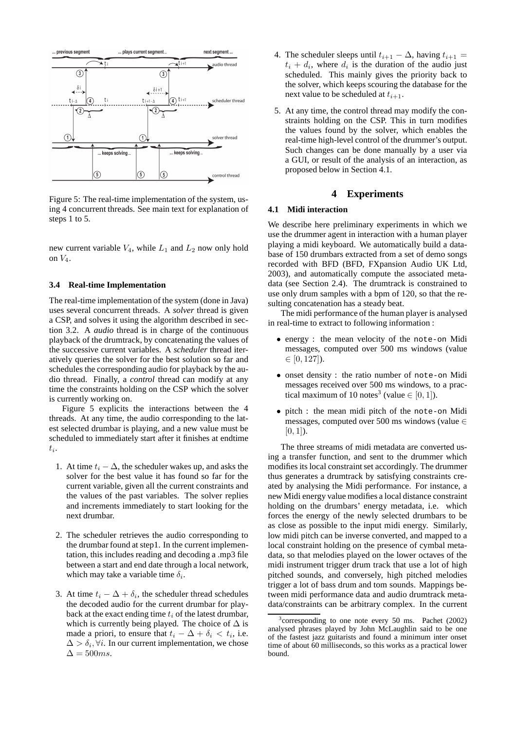

Figure 5: The real-time implementation of the system, using 4 concurrent threads. See main text for explanation of steps 1 to 5.

new current variable  $V_4$ , while  $L_1$  and  $L_2$  now only hold on  $V_4$ .

#### **3.4 Real-time Implementation**

The real-time implementation of the system (done in Java) uses several concurrent threads. A *solver* thread is given a CSP, and solves it using the algorithm described in section 3.2. A *audio* thread is in charge of the continuous playback of the drumtrack, by concatenating the values of the successive current variables. A *scheduler* thread iteratively queries the solver for the best solution so far and schedules the corresponding audio for playback by the audio thread. Finally, a *control* thread can modify at any time the constraints holding on the CSP which the solver is currently working on.

Figure 5 explicits the interactions between the 4 threads. At any time, the audio corresponding to the latest selected drumbar is playing, and a new value must be scheduled to immediately start after it finishes at endtime  $t_i$ .

- 1. At time  $t_i \Delta$ , the scheduler wakes up, and asks the solver for the best value it has found so far for the current variable, given all the current constraints and the values of the past variables. The solver replies and increments immediately to start looking for the next drumbar.
- 2. The scheduler retrieves the audio corresponding to the drumbar found at step1. In the current implementation, this includes reading and decoding a .mp3 file between a start and end date through a local network, which may take a variable time  $\delta_i$ .
- 3. At time  $t_i \Delta + \delta_i$ , the scheduler thread schedules the decoded audio for the current drumbar for playback at the exact ending time  $t_i$  of the latest drumbar, which is currently being played. The choice of  $\Delta$  is made a priori, to ensure that  $t_i - \Delta + \delta_i < t_i$ , i.e.  $\Delta > \delta_i, \forall i$ . In our current implementation, we chose  $\Delta = 500ms.$
- 4. The scheduler sleeps until  $t_{i+1} \Delta$ , having  $t_{i+1} =$  $t_i + d_i$ , where  $d_i$  is the duration of the audio just scheduled. This mainly gives the priority back to the solver, which keeps scouring the database for the next value to be scheduled at  $t_{i+1}$ .
- 5. At any time, the control thread may modify the constraints holding on the CSP. This in turn modifies the values found by the solver, which enables the real-time high-level control of the drummer's output. Such changes can be done manually by a user via a GUI, or result of the analysis of an interaction, as proposed below in Section 4.1.

# **4 Experiments**

#### **4.1 Midi interaction**

We describe here preliminary experiments in which we use the drummer agent in interaction with a human player playing a midi keyboard. We automatically build a database of 150 drumbars extracted from a set of demo songs recorded with BFD (BFD, FXpansion Audio UK Ltd, 2003), and automatically compute the associated metadata (see Section 2.4). The drumtrack is constrained to use only drum samples with a bpm of 120, so that the resulting concatenation has a steady beat.

The midi performance of the human player is analysed in real-time to extract to following information :

- energy : the mean velocity of the note-on Midi messages, computed over 500 ms windows (value  $\in [0, 127]$ .
- onset density : the ratio number of note-on Midi messages received over 500 ms windows, to a practical maximum of 10 notes<sup>3</sup> (value  $\in [0, 1]$ ).
- pitch : the mean midi pitch of the note-on Midi messages, computed over 500 ms windows (value ∈  $[0, 1]$ ).

The three streams of midi metadata are converted using a transfer function, and sent to the drummer which modifies its local constraint set accordingly. The drummer thus generates a drumtrack by satisfying constraints created by analysing the Midi performance. For instance, a new Midi energy value modifies a local distance constraint holding on the drumbars' energy metadata, i.e. which forces the energy of the newly selected drumbars to be as close as possible to the input midi energy. Similarly, low midi pitch can be inverse converted, and mapped to a local constraint holding on the presence of cymbal metadata, so that melodies played on the lower octaves of the midi instrument trigger drum track that use a lot of high pitched sounds, and conversely, high pitched melodies trigger a lot of bass drum and tom sounds. Mappings between midi performance data and audio drumtrack metadata/constraints can be arbitrary complex. In the current

<sup>&</sup>lt;sup>3</sup> corresponding to one note every 50 ms. Pachet (2002) analysed phrases played by John McLaughlin said to be one of the fastest jazz guitarists and found a minimum inter onset time of about 60 milliseconds, so this works as a practical lower bound.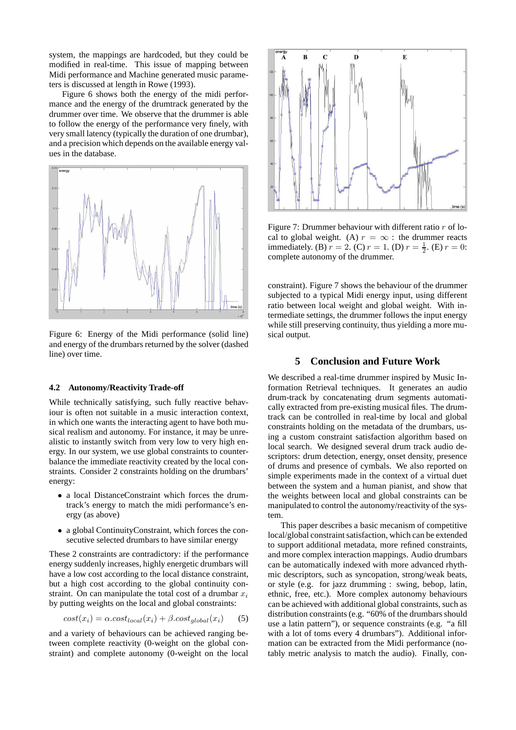system, the mappings are hardcoded, but they could be modified in real-time. This issue of mapping between Midi performance and Machine generated music parameters is discussed at length in Rowe (1993).

Figure 6 shows both the energy of the midi performance and the energy of the drumtrack generated by the drummer over time. We observe that the drummer is able to follow the energy of the performance very finely, with very small latency (typically the duration of one drumbar), and a precision which depends on the available energy values in the database.



Figure 6: Energy of the Midi performance (solid line) and energy of the drumbars returned by the solver (dashed line) over time.

#### **4.2 Autonomy/Reactivity Trade-off**

While technically satisfying, such fully reactive behaviour is often not suitable in a music interaction context, in which one wants the interacting agent to have both musical realism and autonomy. For instance, it may be unrealistic to instantly switch from very low to very high energy. In our system, we use global constraints to counterbalance the immediate reactivity created by the local constraints. Consider 2 constraints holding on the drumbars' energy:

- a local DistanceConstraint which forces the drumtrack's energy to match the midi performance's energy (as above)
- a global ContinuityConstraint, which forces the consecutive selected drumbars to have similar energy

These 2 constraints are contradictory: if the performance energy suddenly increases, highly energetic drumbars will have a low cost according to the local distance constraint, but a high cost according to the global continuity constraint. On can manipulate the total cost of a drumbar  $x_i$ by putting weights on the local and global constraints:

$$
cost(x_i) = \alpha \cdot cost_{local}(x_i) + \beta \cdot cost_{global}(x_i)
$$
 (5)

and a variety of behaviours can be achieved ranging between complete reactivity (0-weight on the global constraint) and complete autonomy (0-weight on the local



Figure 7: Drummer behaviour with different ratio  $r$  of local to global weight. (A)  $r = \infty$  : the drummer reacts immediately. (B)  $r = 2$ . (C)  $r = 1$ . (D)  $r = \frac{1}{2}$ . (E)  $r = 0$ : complete autonomy of the drummer.

constraint). Figure 7 shows the behaviour of the drummer subjected to a typical Midi energy input, using different ratio between local weight and global weight. With intermediate settings, the drummer follows the input energy while still preserving continuity, thus yielding a more musical output.

# **5 Conclusion and Future Work**

We described a real-time drummer inspired by Music Information Retrieval techniques. It generates an audio drum-track by concatenating drum segments automatically extracted from pre-existing musical files. The drumtrack can be controlled in real-time by local and global constraints holding on the metadata of the drumbars, using a custom constraint satisfaction algorithm based on local search. We designed several drum track audio descriptors: drum detection, energy, onset density, presence of drums and presence of cymbals. We also reported on simple experiments made in the context of a virtual duet between the system and a human pianist, and show that the weights between local and global constraints can be manipulated to control the autonomy/reactivity of the system.

This paper describes a basic mecanism of competitive local/global constraint satisfaction, which can be extended to support additional metadata, more refined constraints, and more complex interaction mappings. Audio drumbars can be automatically indexed with more advanced rhythmic descriptors, such as syncopation, strong/weak beats, or style (e.g. for jazz drumming : swing, bebop, latin, ethnic, free, etc.). More complex autonomy behaviours can be achieved with additional global constraints, such as distribution constraints (e.g. "60% of the drumbars should use a latin pattern"), or sequence constraints (e.g. "a fill with a lot of toms every 4 drumbars"). Additional information can be extracted from the Midi performance (notably metric analysis to match the audio). Finally, con-